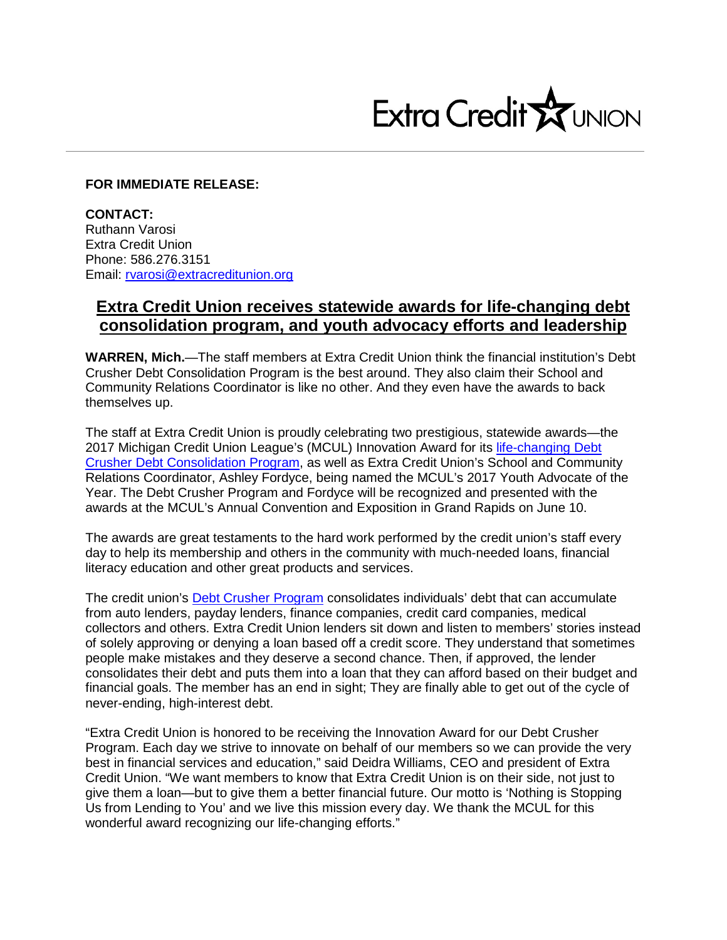

## **FOR IMMEDIATE RELEASE:**

**CONTACT:** Ruthann Varosi Extra Credit Union Phone: 586.276.3151 Email: [rvarosi@extracreditunion.org](mailto:rvarosi@extracreditunion.org)

## **Extra Credit Union receives statewide awards for life-changing debt consolidation program, and youth advocacy efforts and leadership**

**WARREN, Mich.**—The staff members at Extra Credit Union think the financial institution's Debt Crusher Debt Consolidation Program is the best around. They also claim their School and Community Relations Coordinator is like no other. And they even have the awards to back themselves up.

The staff at Extra Credit Union is proudly celebrating two prestigious, statewide awards—the 2017 Michigan Credit Union League's (MCUL) Innovation Award for its [life-changing Debt](https://www.youtube.com/watch?v=X_weekXMwEs)  [Crusher Debt Consolidation Program,](https://www.youtube.com/watch?v=X_weekXMwEs) as well as Extra Credit Union's School and Community Relations Coordinator, Ashley Fordyce, being named the MCUL's 2017 Youth Advocate of the Year. The Debt Crusher Program and Fordyce will be recognized and presented with the awards at the MCUL's Annual Convention and Exposition in Grand Rapids on June 10.

The awards are great testaments to the hard work performed by the credit union's staff every day to help its membership and others in the community with much-needed loans, financial literacy education and other great products and services.

The credit union's [Debt Crusher Program](https://www.extracreditunion.org/loans-to-builds-your-life/debt-crusher-program/) consolidates individuals' debt that can accumulate from auto lenders, payday lenders, finance companies, credit card companies, medical collectors and others. Extra Credit Union lenders sit down and listen to members' stories instead of solely approving or denying a loan based off a credit score. They understand that sometimes people make mistakes and they deserve a second chance. Then, if approved, the lender consolidates their debt and puts them into a loan that they can afford based on their budget and financial goals. The member has an end in sight; They are finally able to get out of the cycle of never-ending, high-interest debt.

"Extra Credit Union is honored to be receiving the Innovation Award for our Debt Crusher Program. Each day we strive to innovate on behalf of our members so we can provide the very best in financial services and education," said Deidra Williams, CEO and president of Extra Credit Union. "We want members to know that Extra Credit Union is on their side, not just to give them a loan—but to give them a better financial future. Our motto is 'Nothing is Stopping Us from Lending to You' and we live this mission every day. We thank the MCUL for this wonderful award recognizing our life-changing efforts."